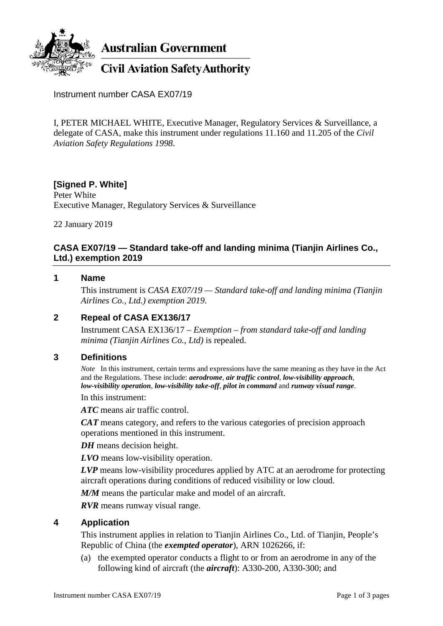

**Australian Government** 

# **Civil Aviation Safety Authority**

Instrument number CASA EX07/19

I, PETER MICHAEL WHITE, Executive Manager, Regulatory Services & Surveillance, a delegate of CASA, make this instrument under regulations 11.160 and 11.205 of the *Civil Aviation Safety Regulations 1998*.

# **[Signed P. White]**

Peter White Executive Manager, Regulatory Services & Surveillance

22 January 2019

## **CASA EX07/19 — Standard take-off and landing minima (Tianjin Airlines Co., Ltd.) exemption 2019**

#### **1 Name**

This instrument is *CASA EX07/19 — Standard take-off and landing minima (Tianjin Airlines Co., Ltd.) exemption 2019*.

## **2 Repeal of CASA EX136/17**

Instrument CASA EX136/17 – *Exemption – from standard take-off and landing minima (Tianjin Airlines Co., Ltd)* is repealed.

#### **3 Definitions**

*Note* In this instrument, certain terms and expressions have the same meaning as they have in the Act and the Regulations. These include: *aerodrome*, *air traffic control*, *low-visibility approach*, *low-visibility operation*, *low-visibility take-off*, *pilot in command* and *runway visual range*.

In this instrument:

*ATC* means air traffic control.

*CAT* means category, and refers to the various categories of precision approach operations mentioned in this instrument.

*DH* means decision height.

*LVO* means low-visibility operation.

*LVP* means low-visibility procedures applied by ATC at an aerodrome for protecting aircraft operations during conditions of reduced visibility or low cloud.

*M/M* means the particular make and model of an aircraft.

*RVR* means runway visual range.

#### **4 Application**

This instrument applies in relation to Tianjin Airlines Co., Ltd. of Tianjin, People's Republic of China (the *exempted operator*), ARN 1026266, if:

(a) the exempted operator conducts a flight to or from an aerodrome in any of the following kind of aircraft (the *aircraft*): A330-200, A330-300; and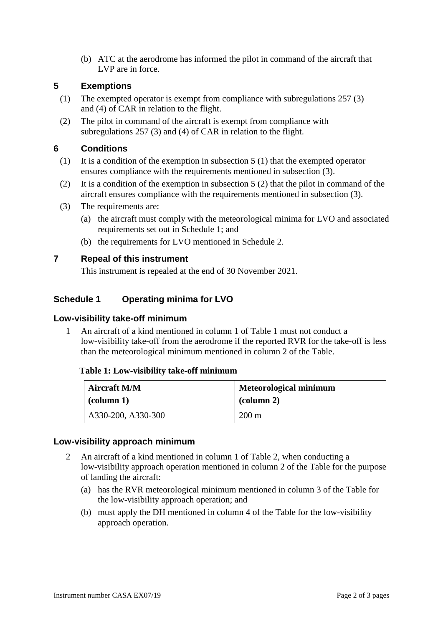(b) ATC at the aerodrome has informed the pilot in command of the aircraft that LVP are in force.

#### **5 Exemptions**

- (1) The exempted operator is exempt from compliance with subregulations 257 (3) and (4) of CAR in relation to the flight.
- (2) The pilot in command of the aircraft is exempt from compliance with subregulations 257 (3) and (4) of CAR in relation to the flight.

#### **6 Conditions**

- (1) It is a condition of the exemption in subsection 5 (1) that the exempted operator ensures compliance with the requirements mentioned in subsection (3).
- (2) It is a condition of the exemption in subsection 5 (2) that the pilot in command of the aircraft ensures compliance with the requirements mentioned in subsection (3).
- (3) The requirements are:
	- (a) the aircraft must comply with the meteorological minima for LVO and associated requirements set out in Schedule 1; and
	- (b) the requirements for LVO mentioned in Schedule 2.

## **7 Repeal of this instrument**

This instrument is repealed at the end of 30 November 2021.

## **Schedule 1 Operating minima for LVO**

#### **Low-visibility take-off minimum**

1 An aircraft of a kind mentioned in column 1 of Table 1 must not conduct a low-visibility take-off from the aerodrome if the reported RVR for the take-off is less than the meteorological minimum mentioned in column 2 of the Table.

#### **Table 1: Low-visibility take-off minimum**

| Aircraft M/M        | <b>Meteorological minimum</b> |
|---------------------|-------------------------------|
| $\alpha$ (column 1) | $\alpha$ (column 2)           |
| A330-200, A330-300  | $200 \text{ m}$               |

#### **Low-visibility approach minimum**

- 2 An aircraft of a kind mentioned in column 1 of Table 2, when conducting a low-visibility approach operation mentioned in column 2 of the Table for the purpose of landing the aircraft:
	- (a) has the RVR meteorological minimum mentioned in column 3 of the Table for the low-visibility approach operation; and
	- (b) must apply the DH mentioned in column 4 of the Table for the low-visibility approach operation.